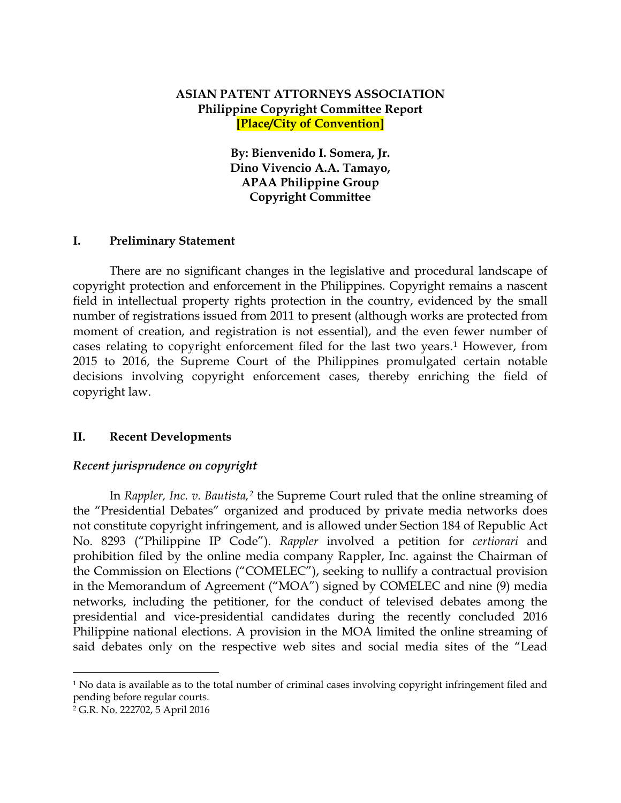# **ASIAN PATENT ATTORNEYS ASSOCIATION Philippine Copyright Committee Report [Place/City of Convention]**

**By: Bienvenido I. Somera, Jr. Dino Vivencio A.A. Tamayo, APAA Philippine Group Copyright Committee**

### **I. Preliminary Statement**

There are no significant changes in the legislative and procedural landscape of copyright protection and enforcement in the Philippines. Copyright remains a nascent field in intellectual property rights protection in the country, evidenced by the small number of registrations issued from 2011 to present (although works are protected from moment of creation, and registration is not essential), and the even fewer number of cases relating to copyright enforcement filed for the last two years.[1](#page-0-0) However, from 2015 to 2016, the Supreme Court of the Philippines promulgated certain notable decisions involving copyright enforcement cases, thereby enriching the field of copyright law.

### **II. Recent Developments**

#### *Recent jurisprudence on copyright*

In *Rappler, Inc. v. Bautista,[2](#page-0-1)* the Supreme Court ruled that the online streaming of the "Presidential Debates" organized and produced by private media networks does not constitute copyright infringement, and is allowed under Section 184 of Republic Act No. 8293 ("Philippine IP Code"). *Rappler* involved a petition for *certiorari* and prohibition filed by the online media company Rappler, Inc. against the Chairman of the Commission on Elections ("COMELEC"), seeking to nullify a contractual provision in the Memorandum of Agreement ("MOA") signed by COMELEC and nine (9) media networks, including the petitioner, for the conduct of televised debates among the presidential and vice-presidential candidates during the recently concluded 2016 Philippine national elections. A provision in the MOA limited the online streaming of said debates only on the respective web sites and social media sites of the "Lead

 $\overline{a}$ 

<span id="page-0-0"></span><sup>&</sup>lt;sup>1</sup> No data is available as to the total number of criminal cases involving copyright infringement filed and pending before regular courts.

<span id="page-0-1"></span><sup>2</sup> G.R. No. 222702, 5 April 2016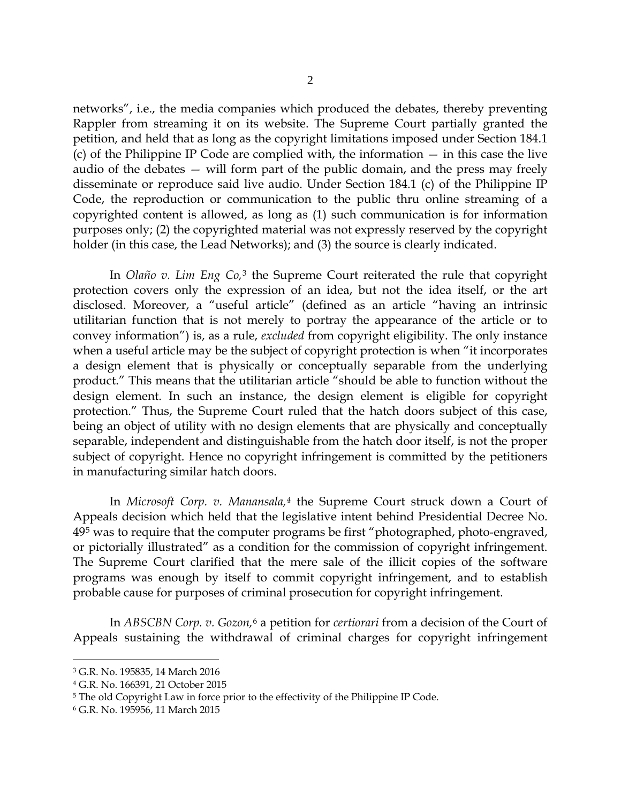networks", i.e., the media companies which produced the debates, thereby preventing Rappler from streaming it on its website. The Supreme Court partially granted the petition, and held that as long as the copyright limitations imposed under Section 184.1 (c) of the Philippine IP Code are complied with, the information — in this case the live audio of the debates — will form part of the public domain, and the press may freely disseminate or reproduce said live audio. Under Section 184.1 (c) of the Philippine IP Code, the reproduction or communication to the public thru online streaming of a copyrighted content is allowed, as long as (1) such communication is for information purposes only; (2) the copyrighted material was not expressly reserved by the copyright holder (in this case, the Lead Networks); and (3) the source is clearly indicated.

In *Olaño v. Lim Eng Co,*[3](#page-1-0) the Supreme Court reiterated the rule that copyright protection covers only the expression of an idea, but not the idea itself, or the art disclosed. Moreover, a "useful article" (defined as an article "having an intrinsic utilitarian function that is not merely to portray the appearance of the article or to convey information") is, as a rule, *excluded* from copyright eligibility. The only instance when a useful article may be the subject of copyright protection is when "it incorporates a design element that is physically or conceptually separable from the underlying product." This means that the utilitarian article "should be able to function without the design element. In such an instance, the design element is eligible for copyright protection." Thus, the Supreme Court ruled that the hatch doors subject of this case, being an object of utility with no design elements that are physically and conceptually separable, independent and distinguishable from the hatch door itself, is not the proper subject of copyright. Hence no copyright infringement is committed by the petitioners in manufacturing similar hatch doors.

In *Microsoft Corp. v. Manansala,[4](#page-1-1)* the Supreme Court struck down a Court of Appeals decision which held that the legislative intent behind Presidential Decree No. 49[5](#page-1-2) was to require that the computer programs be first "photographed, photo-engraved, or pictorially illustrated" as a condition for the commission of copyright infringement. The Supreme Court clarified that the mere sale of the illicit copies of the software programs was enough by itself to commit copyright infringement, and to establish probable cause for purposes of criminal prosecution for copyright infringement.

In *ABSCBN Corp. v. Gozon,*[6](#page-1-3) a petition for *certiorari* from a decision of the Court of Appeals sustaining the withdrawal of criminal charges for copyright infringement

 $\overline{a}$ 

<span id="page-1-0"></span><sup>3</sup> G.R. No. 195835, 14 March 2016

<span id="page-1-1"></span><sup>4</sup> G.R. No. 166391, 21 October 2015

<span id="page-1-2"></span><sup>&</sup>lt;sup>5</sup> The old Copyright Law in force prior to the effectivity of the Philippine IP Code.

<span id="page-1-3"></span><sup>6</sup> G.R. No. 195956, 11 March 2015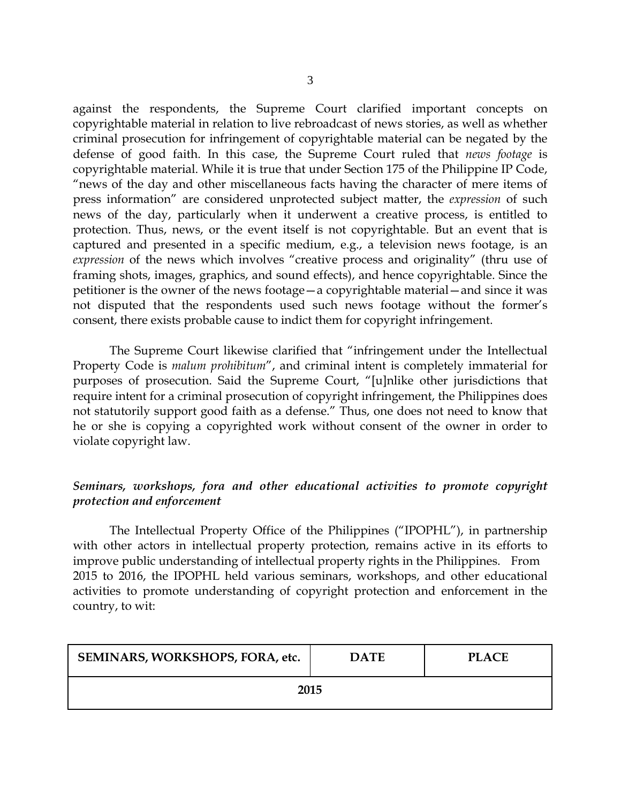against the respondents, the Supreme Court clarified important concepts on copyrightable material in relation to live rebroadcast of news stories, as well as whether criminal prosecution for infringement of copyrightable material can be negated by the defense of good faith. In this case, the Supreme Court ruled that *news footage* is copyrightable material. While it is true that under Section 175 of the Philippine IP Code, "news of the day and other miscellaneous facts having the character of mere items of press information" are considered unprotected subject matter, the *expression* of such news of the day, particularly when it underwent a creative process, is entitled to protection. Thus, news, or the event itself is not copyrightable. But an event that is captured and presented in a specific medium, e.g., a television news footage, is an *expression* of the news which involves "creative process and originality" (thru use of framing shots, images, graphics, and sound effects), and hence copyrightable. Since the petitioner is the owner of the news footage—a copyrightable material—and since it was not disputed that the respondents used such news footage without the former's consent, there exists probable cause to indict them for copyright infringement.

The Supreme Court likewise clarified that "infringement under the Intellectual Property Code is *malum prohibitum*", and criminal intent is completely immaterial for purposes of prosecution. Said the Supreme Court, "[u]nlike other jurisdictions that require intent for a criminal prosecution of copyright infringement, the Philippines does not statutorily support good faith as a defense." Thus, one does not need to know that he or she is copying a copyrighted work without consent of the owner in order to violate copyright law.

# *Seminars, workshops, fora and other educational activities to promote copyright protection and enforcement*

The Intellectual Property Office of the Philippines ("IPOPHL"), in partnership with other actors in intellectual property protection, remains active in its efforts to improve public understanding of intellectual property rights in the Philippines. From 2015 to 2016, the IPOPHL held various seminars, workshops, and other educational activities to promote understanding of copyright protection and enforcement in the country, to wit:

| SEMINARS, WORKSHOPS, FORA, etc. | <b>DATE</b> | PLACE. |
|---------------------------------|-------------|--------|
| 2015                            |             |        |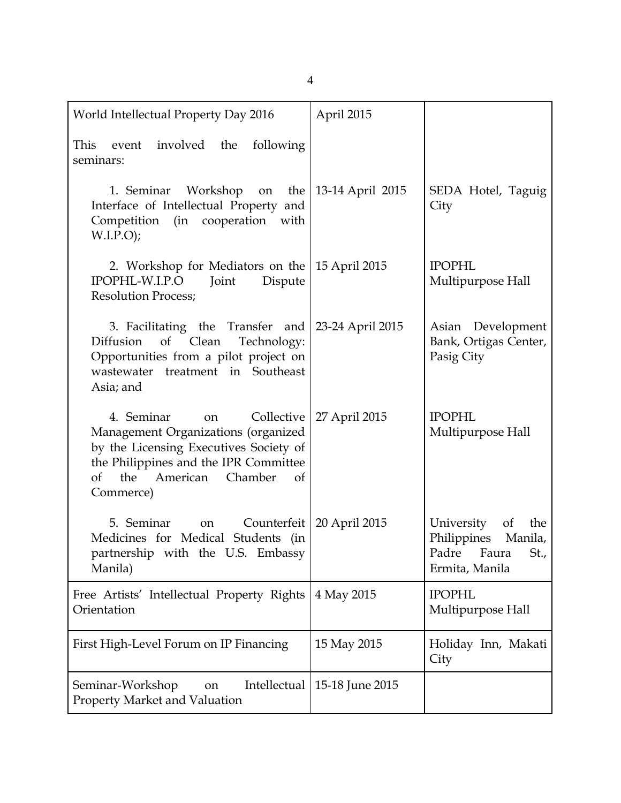| World Intellectual Property Day 2016                                                                                                                                                              | April 2015                  |                                                                                            |
|---------------------------------------------------------------------------------------------------------------------------------------------------------------------------------------------------|-----------------------------|--------------------------------------------------------------------------------------------|
| event involved the<br>following<br>This<br>seminars:                                                                                                                                              |                             |                                                                                            |
| 1. Seminar Workshop on the 13-14 April 2015<br>Interface of Intellectual Property and<br>Competition (in cooperation with<br>W.I.P.O);                                                            |                             | SEDA Hotel, Taguig<br>City                                                                 |
| 2. Workshop for Mediators on the 15 April 2015<br>IPOPHL-W.I.P.O<br>Dispute<br>Joint<br><b>Resolution Process;</b>                                                                                |                             | <b>IPOPHL</b><br>Multipurpose Hall                                                         |
| 3. Facilitating the Transfer and 23-24 April 2015<br>of Clean<br>Technology:<br>Diffusion<br>Opportunities from a pilot project on<br>wastewater treatment in Southeast<br>Asia; and              |                             | Asian Development<br>Bank, Ortigas Center,<br>Pasig City                                   |
| 4. Seminar<br>on<br>Management Organizations (organized<br>by the Licensing Executives Society of<br>the Philippines and the IPR Committee<br>American<br>Chamber<br>of<br>the<br>of<br>Commerce) | Collective   27 April 2015  | <b>IPOPHL</b><br>Multipurpose Hall                                                         |
| 5. Seminar<br>on<br>Medicines for Medical Students (in<br>partnership with the U.S. Embassy<br>Manila)                                                                                            | Counterfeit   20 April 2015 | University<br>of<br>the<br>Philippines<br>Manila,<br>Padre Faura<br>St.,<br>Ermita, Manila |
| Free Artists' Intellectual Property Rights<br>Orientation                                                                                                                                         | 4 May 2015                  | <b>IPOPHL</b><br>Multipurpose Hall                                                         |
| First High-Level Forum on IP Financing                                                                                                                                                            | 15 May 2015                 | Holiday Inn, Makati<br>City                                                                |
| Seminar-Workshop<br>Intellectual<br>on<br>Property Market and Valuation                                                                                                                           | 15-18 June 2015             |                                                                                            |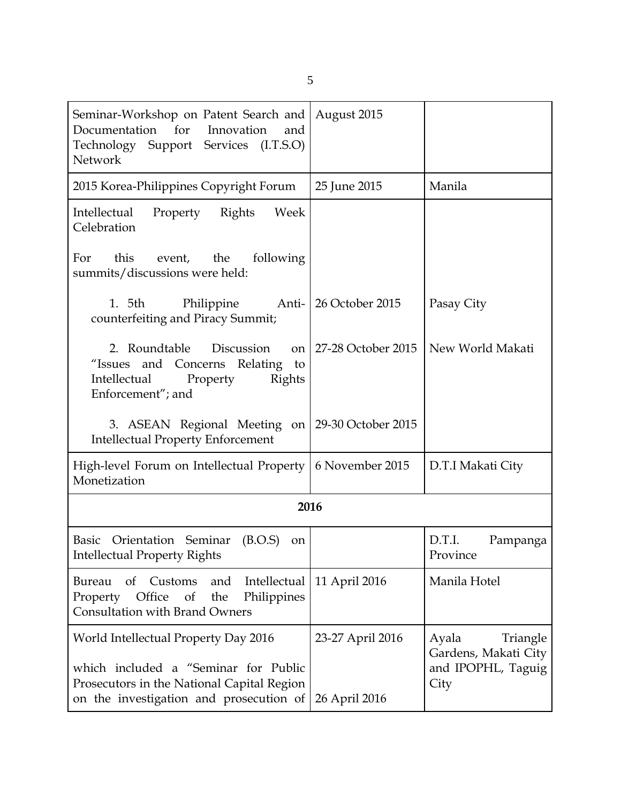| Seminar-Workshop on Patent Search and<br>Documentation for<br>Innovation<br>and<br>Technology Support Services (I.T.S.O)<br>Network                                   | August 2015                       |                                                                         |
|-----------------------------------------------------------------------------------------------------------------------------------------------------------------------|-----------------------------------|-------------------------------------------------------------------------|
| 2015 Korea-Philippines Copyright Forum                                                                                                                                | 25 June 2015                      | Manila                                                                  |
| Property Rights<br>Week<br>Intellectual<br>Celebration                                                                                                                |                                   |                                                                         |
| this<br>event, the<br>following<br>For<br>summits/discussions were held:                                                                                              |                                   |                                                                         |
| 1. 5th<br>Philippine<br>counterfeiting and Piracy Summit;                                                                                                             | Anti-   26 October 2015           | Pasay City                                                              |
| 2. Roundtable Discussion<br>on  <br>"Issues and Concerns Relating to<br>Intellectual<br>Property<br>Rights<br>Enforcement"; and                                       | 27-28 October 2015                | New World Makati                                                        |
| 3. ASEAN Regional Meeting on   29-30 October 2015<br><b>Intellectual Property Enforcement</b>                                                                         |                                   |                                                                         |
| High-level Forum on Intellectual Property   6 November 2015<br>Monetization                                                                                           |                                   | D.T.I Makati City                                                       |
| 2016                                                                                                                                                                  |                                   |                                                                         |
| Basic Orientation Seminar<br>(B.O.S)<br>on<br><b>Intellectual Property Rights</b>                                                                                     |                                   | D.T.I.<br>Pampanga<br>Province                                          |
| Intellectual<br>Bureau<br>of<br>Customs<br>and<br>Office<br>Property<br>of<br>the<br>Philippines<br><b>Consultation with Brand Owners</b>                             | 11 April 2016                     | Manila Hotel                                                            |
| World Intellectual Property Day 2016<br>which included a "Seminar for Public<br>Prosecutors in the National Capital Region<br>on the investigation and prosecution of | 23-27 April 2016<br>26 April 2016 | Ayala<br>Triangle<br>Gardens, Makati City<br>and IPOPHL, Taguig<br>City |

5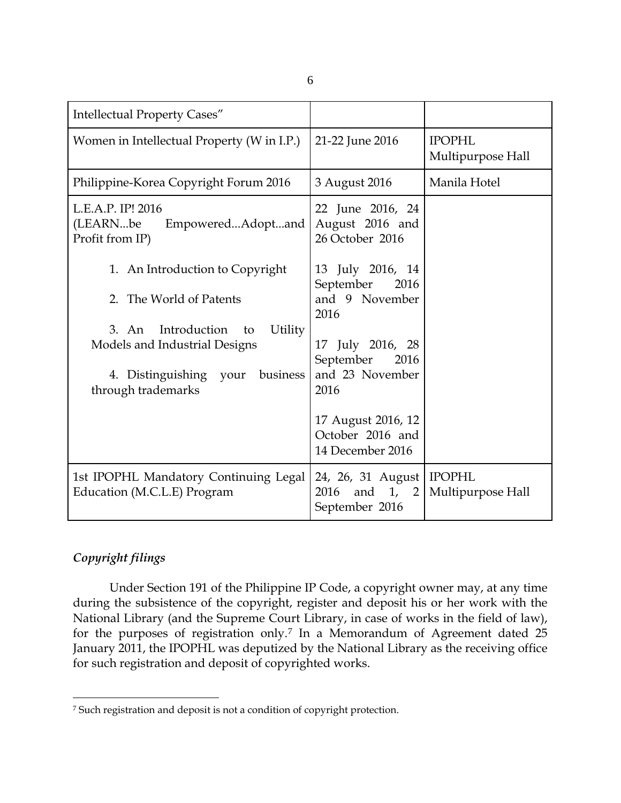|              | I<br>. . |         |  |
|--------------|----------|---------|--|
| ł<br>×<br>v. | v        | š<br>۰. |  |

| <b>Intellectual Property Cases"</b>                                                                                              |                                                                                     |                                    |
|----------------------------------------------------------------------------------------------------------------------------------|-------------------------------------------------------------------------------------|------------------------------------|
| Women in Intellectual Property (W in I.P.)                                                                                       | 21-22 June 2016                                                                     | <b>IPOPHL</b><br>Multipurpose Hall |
| Philippine-Korea Copyright Forum 2016                                                                                            | 3 August 2016                                                                       | Manila Hotel                       |
| L.E.A.P. IP! 2016<br>(LEARNbe<br>EmpoweredAdoptand<br>Profit from IP)                                                            | 22 June 2016, 24<br>August 2016 and<br>26 October 2016                              |                                    |
| 1. An Introduction to Copyright<br>2. The World of Patents                                                                       | 13 July 2016, 14<br>September<br>2016<br>and 9 November<br>2016                     |                                    |
| Introduction<br>Utility<br>3. An<br>to<br>Models and Industrial Designs<br>4. Distinguishing your business<br>through trademarks | 17 July 2016, 28<br>September<br>2016<br>and 23 November<br>2016                    |                                    |
|                                                                                                                                  | 17 August 2016, 12<br>October 2016 and<br>14 December 2016                          |                                    |
| 1st IPOPHL Mandatory Continuing Legal<br>Education (M.C.L.E) Program                                                             | 24, 26, 31 August   IPOPHL<br>and $1$ ,<br>2016<br>$\overline{2}$<br>September 2016 | Multipurpose Hall                  |

## *Copyright filings*

 $\overline{a}$ 

Under Section 191 of the Philippine IP Code, a copyright owner may, at any time during the subsistence of the copyright, register and deposit his or her work with the National Library (and the Supreme Court Library, in case of works in the field of law), for the purposes of registration only.[7](#page-5-0) In a Memorandum of Agreement dated 25 January 2011, the IPOPHL was deputized by the National Library as the receiving office for such registration and deposit of copyrighted works.

<span id="page-5-0"></span><sup>7</sup> Such registration and deposit is not a condition of copyright protection.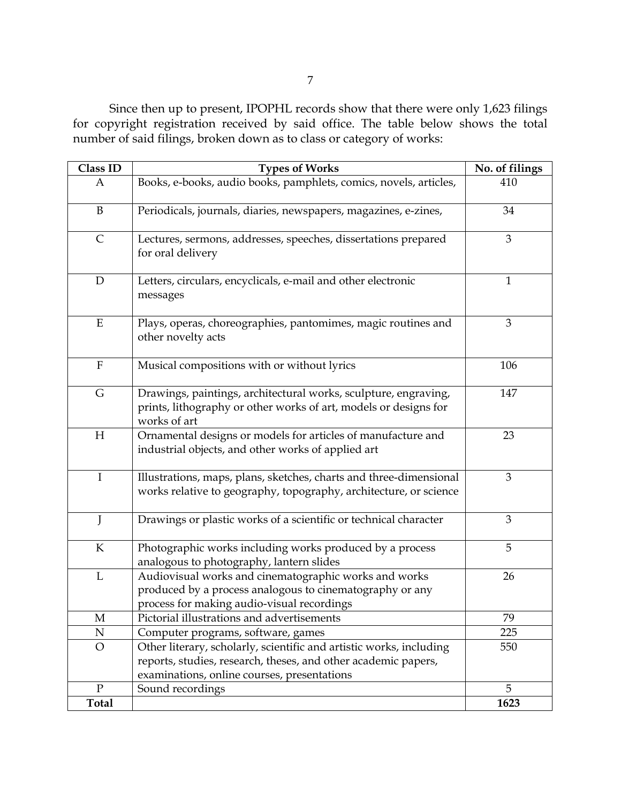Since then up to present, IPOPHL records show that there were only 1,623 filings for copyright registration received by said office. The table below shows the total number of said filings, broken down as to class or category of works:

| Class ID      | <b>Types of Works</b>                                                                                                                                                                | No. of filings |
|---------------|--------------------------------------------------------------------------------------------------------------------------------------------------------------------------------------|----------------|
| A             | Books, e-books, audio books, pamphlets, comics, novels, articles,                                                                                                                    | 410            |
| $\mathbf B$   | Periodicals, journals, diaries, newspapers, magazines, e-zines,                                                                                                                      | 34             |
| $\mathsf{C}$  | Lectures, sermons, addresses, speeches, dissertations prepared<br>for oral delivery                                                                                                  | 3              |
| $\mathbf D$   | Letters, circulars, encyclicals, e-mail and other electronic<br>messages                                                                                                             | 1              |
| ${\bf E}$     | Plays, operas, choreographies, pantomimes, magic routines and<br>other novelty acts                                                                                                  | 3              |
| ${\bf F}$     | Musical compositions with or without lyrics                                                                                                                                          | 106            |
| G             | Drawings, paintings, architectural works, sculpture, engraving,<br>prints, lithography or other works of art, models or designs for<br>works of art                                  | 147            |
| H             | Ornamental designs or models for articles of manufacture and<br>industrial objects, and other works of applied art                                                                   | 23             |
| $\bf I$       | Illustrations, maps, plans, sketches, charts and three-dimensional<br>works relative to geography, topography, architecture, or science                                              | 3              |
| J             | Drawings or plastic works of a scientific or technical character                                                                                                                     | 3              |
| ${\bf K}$     | Photographic works including works produced by a process<br>analogous to photography, lantern slides                                                                                 | 5              |
| L             | Audiovisual works and cinematographic works and works<br>produced by a process analogous to cinematography or any<br>process for making audio-visual recordings                      | 26             |
| $\mathbf M$   | Pictorial illustrations and advertisements                                                                                                                                           | 79             |
| ${\bf N}$     | Computer programs, software, games                                                                                                                                                   | 225            |
| $\mathcal{O}$ | Other literary, scholarly, scientific and artistic works, including<br>reports, studies, research, theses, and other academic papers,<br>examinations, online courses, presentations | 550            |
| $\mathbf{P}$  | Sound recordings                                                                                                                                                                     | 5              |
| <b>Total</b>  |                                                                                                                                                                                      | 1623           |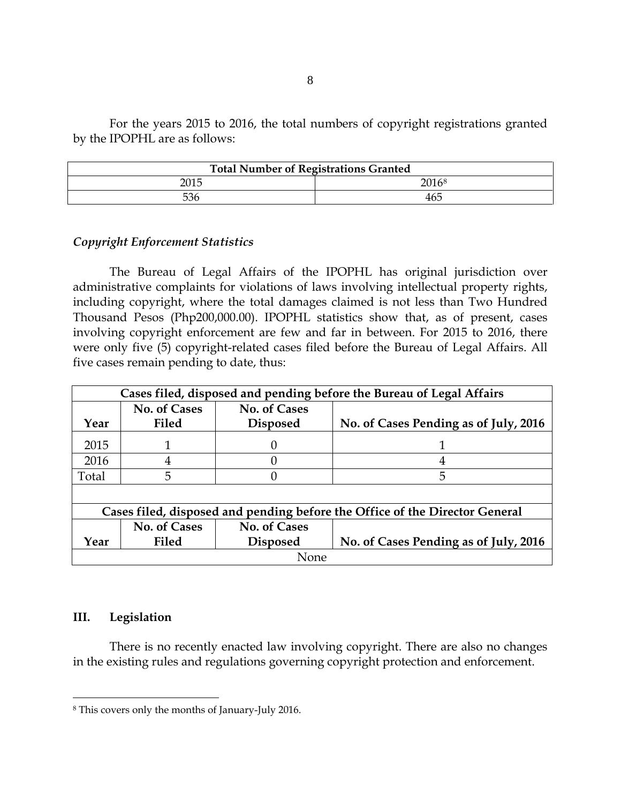For the years 2015 to 2016, the total numbers of copyright registrations granted by the IPOPHL are as follows:

| <b>Total Number of Registrations Granted</b> |       |  |
|----------------------------------------------|-------|--|
| 2015                                         | 20168 |  |
| 536                                          | 465   |  |

## *Copyright Enforcement Statistics*

The Bureau of Legal Affairs of the IPOPHL has original jurisdiction over administrative complaints for violations of laws involving intellectual property rights, including copyright, where the total damages claimed is not less than Two Hundred Thousand Pesos (Php200,000.00). IPOPHL statistics show that, as of present, cases involving copyright enforcement are few and far in between. For 2015 to 2016, there were only five (5) copyright-related cases filed before the Bureau of Legal Affairs. All five cases remain pending to date, thus:

| Cases filed, disposed and pending before the Bureau of Legal Affairs        |                     |                     |                                       |
|-----------------------------------------------------------------------------|---------------------|---------------------|---------------------------------------|
|                                                                             | <b>No. of Cases</b> | <b>No. of Cases</b> |                                       |
| Year                                                                        | <b>Filed</b>        | <b>Disposed</b>     | No. of Cases Pending as of July, 2016 |
| 2015                                                                        |                     | 0                   |                                       |
| 2016                                                                        | 4                   |                     | 4                                     |
| Total                                                                       | 5                   |                     | 5                                     |
|                                                                             |                     |                     |                                       |
| Cases filed, disposed and pending before the Office of the Director General |                     |                     |                                       |
|                                                                             | No. of Cases        | <b>No. of Cases</b> |                                       |
| Year                                                                        | <b>Filed</b>        | <b>Disposed</b>     | No. of Cases Pending as of July, 2016 |
| None                                                                        |                     |                     |                                       |

### **III. Legislation**

 $\overline{a}$ 

There is no recently enacted law involving copyright. There are also no changes in the existing rules and regulations governing copyright protection and enforcement.

<span id="page-7-0"></span><sup>8</sup> This covers only the months of January-July 2016.